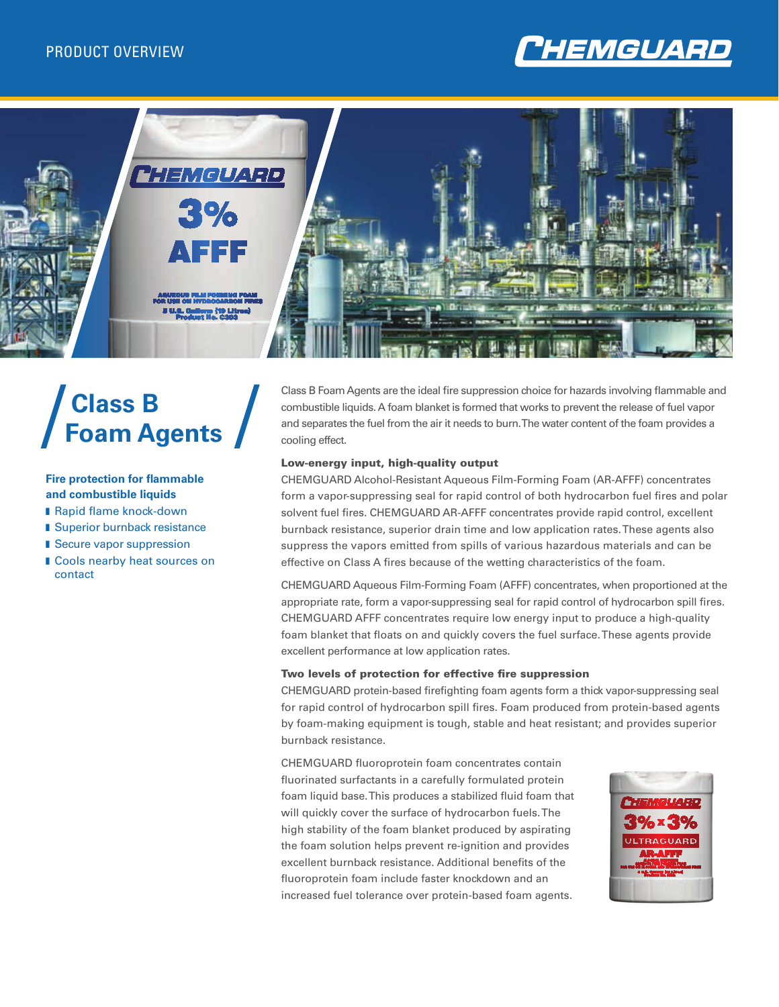



# **Class B Foam Agents**

### **Fire protection for flammable and combustible liquids**

- Rapid flame knock-down
- Superior burnback resistance
- Secure vapor suppression
- **I** Cools nearby heat sources on contact

Class B Foam Agents are the ideal fire suppression choice for hazards involving flammable and combustible liquids. A foam blanket is formed that works to prevent the release of fuel vapor and separates the fuel from the air it needs to burn. The water content of the foam provides a cooling effect.

#### Low-energy input, high-quality output

CHEMGUARD Alcohol-Resistant Aqueous Film-Forming Foam (AR-AFFF) concentrates form a vapor-suppressing seal for rapid control of both hydrocarbon fuel fires and polar solvent fuel fires. CHEMGUARD AR-AFFF concentrates provide rapid control, excellent burnback resistance, superior drain time and low application rates. These agents also suppress the vapors emitted from spills of various hazardous materials and can be effective on Class A fires because of the wetting characteristics of the foam.

CHEMGUARD Aqueous Film-Forming Foam (AFFF) concentrates, when proportioned at the appropriate rate, form a vapor-suppressing seal for rapid control of hydrocarbon spill fires. CHEMGUARD AFFF concentrates require low energy input to produce a high-quality foam blanket that floats on and quickly covers the fuel surface. These agents provide excellent performance at low application rates.

#### Two levels of protection for effective fire suppression

CHEMGUARD protein-based firefighting foam agents form a thick vapor-suppressing seal for rapid control of hydrocarbon spill fires. Foam produced from protein-based agents by foam-making equipment is tough, stable and heat resistant; and provides superior burnback resistance.

CHEMGUARD fluoroprotein foam concentrates contain fluorinated surfactants in a carefully formulated protein foam liquid base. This produces a stabilized fluid foam that will quickly cover the surface of hydrocarbon fuels. The high stability of the foam blanket produced by aspirating the foam solution helps prevent re-ignition and provides excellent burnback resistance. Additional benefits of the fluoroprotein foam include faster knockdown and an increased fuel tolerance over protein-based foam agents.